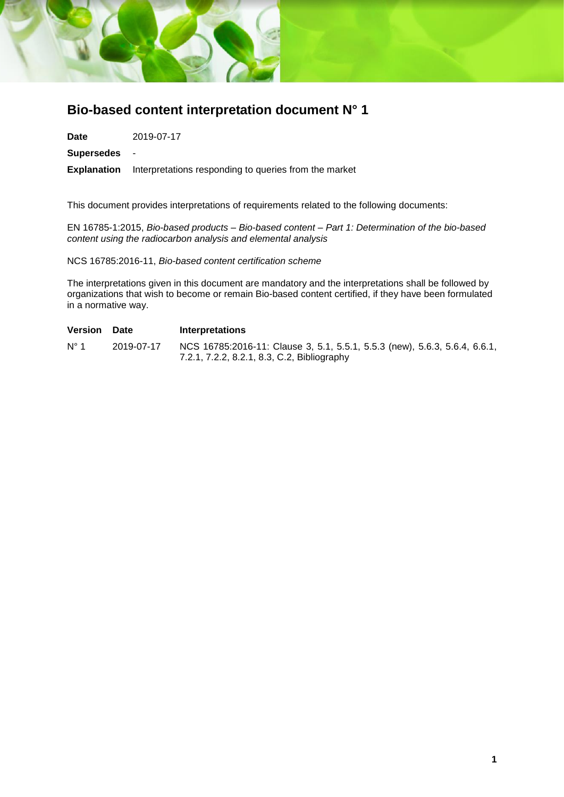

# **Bio-based content interpretation document N° 1**

**Date** 2019-07-17

**Supersedes** -

**Explanation** Interpretations responding to queries from the market

This document provides interpretations of requirements related to the following documents:

EN 16785-1:2015, *Bio-based products – Bio-based content – Part 1: Determination of the bio-based content using the radiocarbon analysis and elemental analysis*

NCS 16785:2016-11, *Bio-based content certification scheme*

The interpretations given in this document are mandatory and the interpretations shall be followed by organizations that wish to become or remain Bio-based content certified, if they have been formulated in a normative way.

| <b>Version</b> | Date       | <b>Interpretations</b>                                                                                                    |
|----------------|------------|---------------------------------------------------------------------------------------------------------------------------|
| $N^{\circ}$ 1  | 2019-07-17 | NCS 16785:2016-11: Clause 3, 5.1, 5.5.1, 5.5.3 (new), 5.6.3, 5.6.4, 6.6.1,<br>7.2.1, 7.2.2, 8.2.1, 8.3, C.2, Bibliography |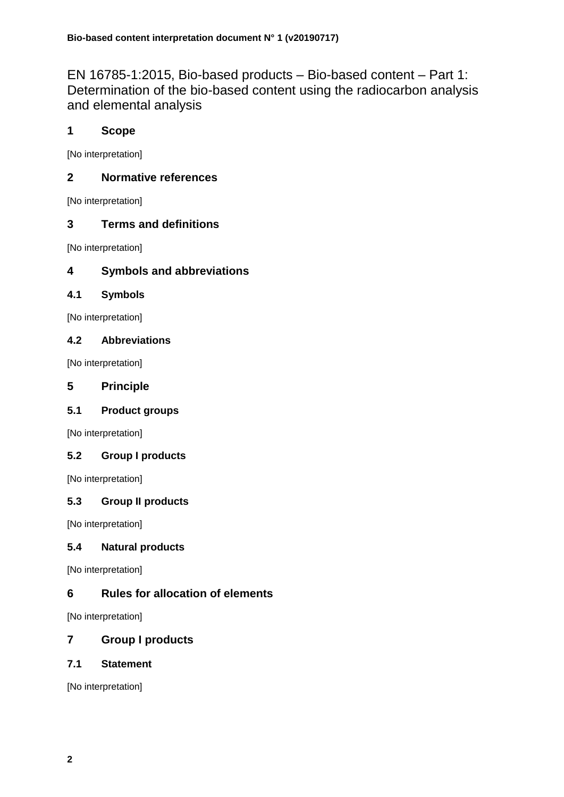EN 16785-1:2015, Bio-based products – Bio-based content – Part 1: Determination of the bio-based content using the radiocarbon analysis and elemental analysis

# **1 Scope**

[No interpretation]

# **2 Normative references**

[No interpretation]

# **3 Terms and definitions**

[No interpretation]

# **4 Symbols and abbreviations**

# **4.1 Symbols**

[No interpretation]

# **4.2 Abbreviations**

[No interpretation]

# **5 Principle**

# **5.1 Product groups**

[No interpretation]

# **5.2 Group I products**

[No interpretation]

# **5.3 Group II products**

[No interpretation]

# **5.4 Natural products**

[No interpretation]

# **6 Rules for allocation of elements**

[No interpretation]

# **7 Group I products**

# **7.1 Statement**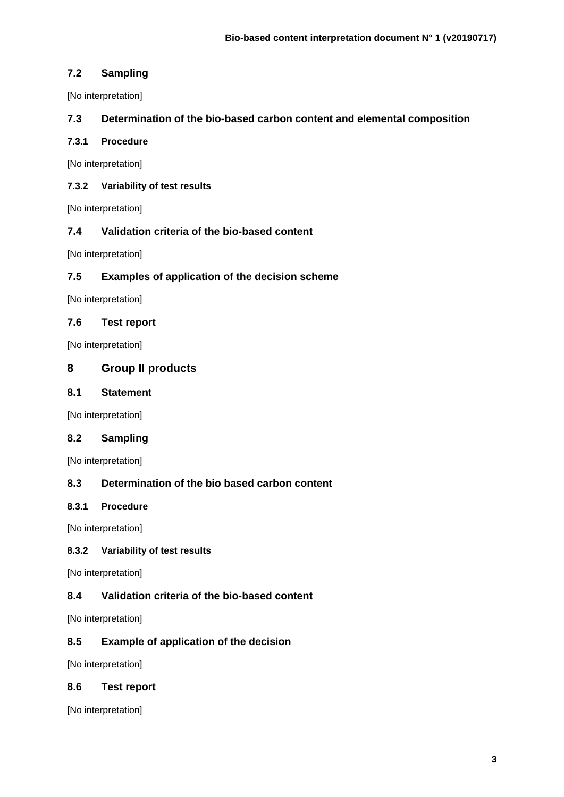## **7.2 Sampling**

[No interpretation]

## **7.3 Determination of the bio-based carbon content and elemental composition**

## **7.3.1 Procedure**

[No interpretation]

## **7.3.2 Variability of test results**

[No interpretation]

## **7.4 Validation criteria of the bio-based content**

[No interpretation]

# **7.5 Examples of application of the decision scheme**

[No interpretation]

## **7.6 Test report**

[No interpretation]

# **8 Group II products**

## **8.1 Statement**

[No interpretation]

## **8.2 Sampling**

[No interpretation]

## **8.3 Determination of the bio based carbon content**

### **8.3.1 Procedure**

[No interpretation]

### **8.3.2 Variability of test results**

[No interpretation]

## **8.4 Validation criteria of the bio-based content**

[No interpretation]

## **8.5 Example of application of the decision**

[No interpretation]

### **8.6 Test report**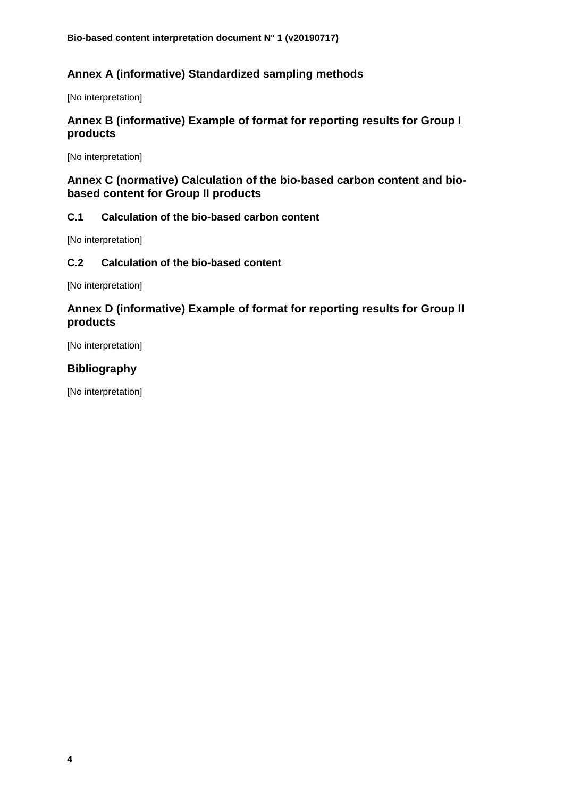# **Annex A (informative) Standardized sampling methods**

[No interpretation]

# **Annex B (informative) Example of format for reporting results for Group I products**

[No interpretation]

# **Annex C (normative) Calculation of the bio-based carbon content and biobased content for Group II products**

# **C.1 Calculation of the bio-based carbon content**

[No interpretation]

## **C.2 Calculation of the bio-based content**

[No interpretation]

# **Annex D (informative) Example of format for reporting results for Group II products**

[No interpretation]

# **Bibliography**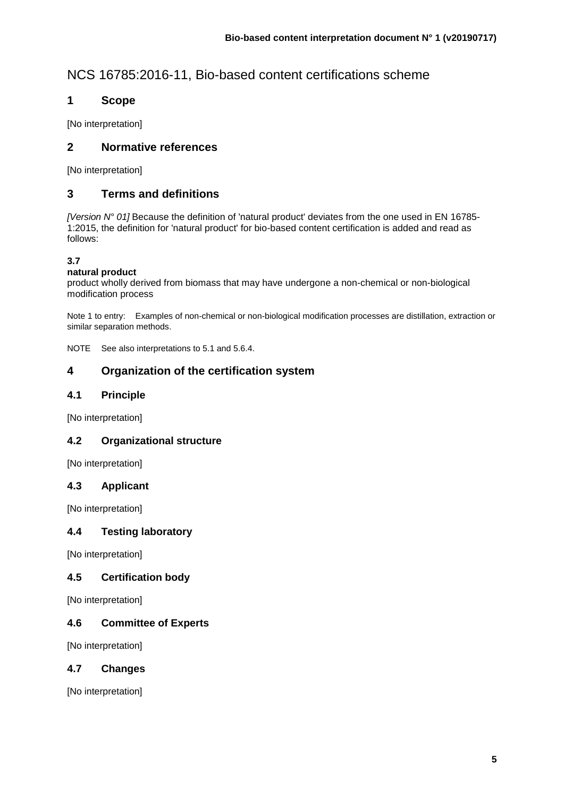# NCS 16785:2016-11, Bio-based content certifications scheme

# **1 Scope**

[No interpretation]

# **2 Normative references**

[No interpretation]

# **3 Terms and definitions**

*[Version N° 01]* Because the definition of 'natural product' deviates from the one used in EN 16785- 1:2015, the definition for 'natural product' for bio-based content certification is added and read as follows:

# **3.7**

### **natural product**

product wholly derived from biomass that may have undergone a non-chemical or non-biological modification process

Note 1 to entry: Examples of non-chemical or non-biological modification processes are distillation, extraction or similar separation methods.

NOTE See also interpretations to 5.1 and 5.6.4.

# **4 Organization of the certification system**

## **4.1 Principle**

[No interpretation]

### **4.2 Organizational structure**

[No interpretation]

### **4.3 Applicant**

[No interpretation]

### **4.4 Testing laboratory**

[No interpretation]

## **4.5 Certification body**

[No interpretation]

## **4.6 Committee of Experts**

[No interpretation]

## **4.7 Changes**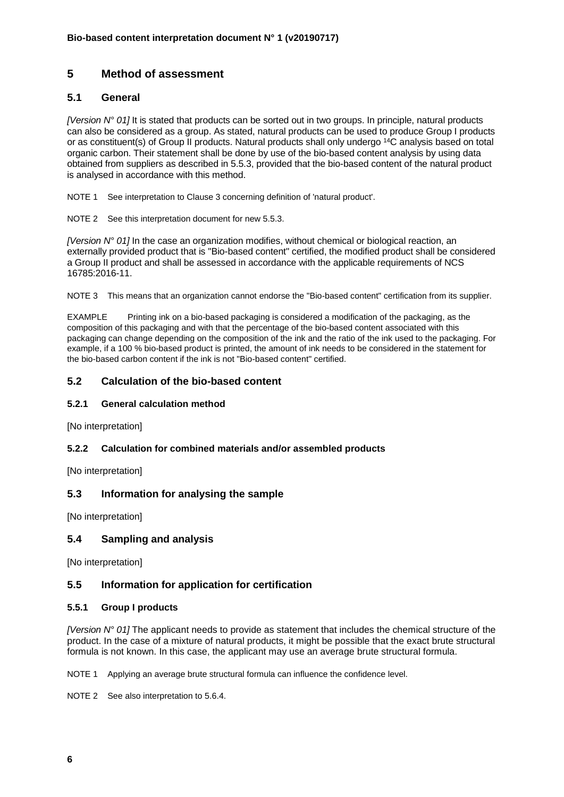# **5 Method of assessment**

## **5.1 General**

*[Version N° 01]* It is stated that products can be sorted out in two groups. In principle, natural products can also be considered as a group. As stated, natural products can be used to produce Group I products or as constituent(s) of Group II products. Natural products shall only undergo <sup>14</sup>C analysis based on total organic carbon. Their statement shall be done by use of the bio-based content analysis by using data obtained from suppliers as described in 5.5.3, provided that the bio-based content of the natural product is analysed in accordance with this method.

NOTE 1 See interpretation to Clause 3 concerning definition of 'natural product'.

NOTE 2 See this interpretation document for new 5.5.3.

*[Version N° 01]* In the case an organization modifies, without chemical or biological reaction, an externally provided product that is "Bio-based content" certified, the modified product shall be considered a Group II product and shall be assessed in accordance with the applicable requirements of NCS 16785:2016-11.

NOTE 3 This means that an organization cannot endorse the "Bio-based content" certification from its supplier.

EXAMPLE Printing ink on a bio-based packaging is considered a modification of the packaging, as the composition of this packaging and with that the percentage of the bio-based content associated with this packaging can change depending on the composition of the ink and the ratio of the ink used to the packaging. For example, if a 100 % bio-based product is printed, the amount of ink needs to be considered in the statement for the bio-based carbon content if the ink is not "Bio-based content" certified.

#### **5.2 Calculation of the bio-based content**

#### **5.2.1 General calculation method**

[No interpretation]

#### **5.2.2 Calculation for combined materials and/or assembled products**

[No interpretation]

### **5.3 Information for analysing the sample**

[No interpretation]

### **5.4 Sampling and analysis**

[No interpretation]

### **5.5 Information for application for certification**

#### **5.5.1 Group I products**

*[Version N° 01]* The applicant needs to provide as statement that includes the chemical structure of the product. In the case of a mixture of natural products, it might be possible that the exact brute structural formula is not known. In this case, the applicant may use an average brute structural formula.

NOTE 1 Applying an average brute structural formula can influence the confidence level.

NOTE 2 See also interpretation to 5.6.4.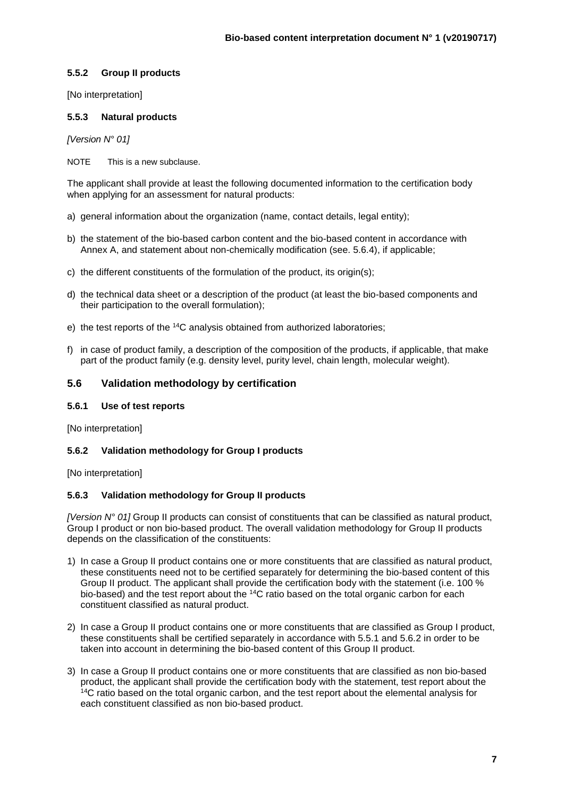#### **5.5.2 Group II products**

[No interpretation]

#### **5.5.3 Natural products**

*[Version N° 01]*

NOTE This is a new subclause.

The applicant shall provide at least the following documented information to the certification body when applying for an assessment for natural products:

- a) general information about the organization (name, contact details, legal entity);
- b) the statement of the bio-based carbon content and the bio-based content in accordance with Annex A, and statement about non-chemically modification (see. 5.6.4), if applicable;
- c) the different constituents of the formulation of the product, its origin(s);
- d) the technical data sheet or a description of the product (at least the bio-based components and their participation to the overall formulation);
- e) the test reports of the <sup>14</sup>C analysis obtained from authorized laboratories;
- f) in case of product family, a description of the composition of the products, if applicable, that make part of the product family (e.g. density level, purity level, chain length, molecular weight).

#### **5.6 Validation methodology by certification**

#### **5.6.1 Use of test reports**

[No interpretation]

#### **5.6.2 Validation methodology for Group I products**

[No interpretation]

#### **5.6.3 Validation methodology for Group II products**

*[Version N° 01]* Group II products can consist of constituents that can be classified as natural product, Group I product or non bio-based product. The overall validation methodology for Group II products depends on the classification of the constituents:

- 1) In case a Group II product contains one or more constituents that are classified as natural product, these constituents need not to be certified separately for determining the bio-based content of this Group II product. The applicant shall provide the certification body with the statement (i.e. 100 % bio-based) and the test report about the <sup>14</sup>C ratio based on the total organic carbon for each constituent classified as natural product.
- 2) In case a Group II product contains one or more constituents that are classified as Group I product, these constituents shall be certified separately in accordance with 5.5.1 and 5.6.2 in order to be taken into account in determining the bio-based content of this Group II product.
- 3) In case a Group II product contains one or more constituents that are classified as non bio-based product, the applicant shall provide the certification body with the statement, test report about the <sup>14</sup>C ratio based on the total organic carbon, and the test report about the elemental analysis for each constituent classified as non bio-based product.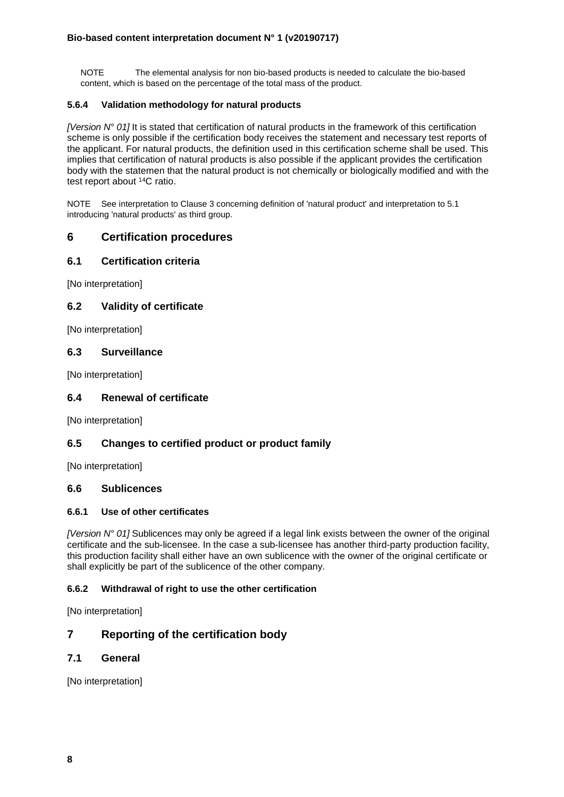NOTE The elemental analysis for non bio-based products is needed to calculate the bio-based content, which is based on the percentage of the total mass of the product.

#### **5.6.4 Validation methodology for natural products**

*[Version N° 01]* It is stated that certification of natural products in the framework of this certification scheme is only possible if the certification body receives the statement and necessary test reports of the applicant. For natural products, the definition used in this certification scheme shall be used. This implies that certification of natural products is also possible if the applicant provides the certification body with the statemen that the natural product is not chemically or biologically modified and with the test report about <sup>14</sup>C ratio.

NOTE See interpretation to Clause 3 concerning definition of 'natural product' and interpretation to 5.1 introducing 'natural products' as third group.

## **6 Certification procedures**

#### **6.1 Certification criteria**

[No interpretation]

### **6.2 Validity of certificate**

[No interpretation]

#### **6.3 Surveillance**

[No interpretation]

#### **6.4 Renewal of certificate**

[No interpretation]

### **6.5 Changes to certified product or product family**

[No interpretation]

#### **6.6 Sublicences**

#### **6.6.1 Use of other certificates**

*[Version N° 01]* Sublicences may only be agreed if a legal link exists between the owner of the original certificate and the sub-licensee. In the case a sub-licensee has another third-party production facility, this production facility shall either have an own sublicence with the owner of the original certificate or shall explicitly be part of the sublicence of the other company.

#### **6.6.2 Withdrawal of right to use the other certification**

[No interpretation]

## **7 Reporting of the certification body**

### **7.1 General**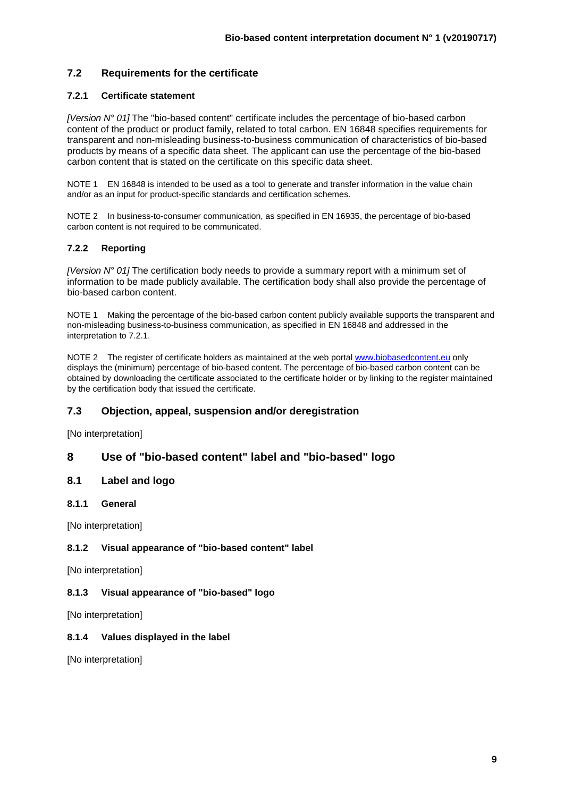## **7.2 Requirements for the certificate**

#### **7.2.1 Certificate statement**

*[Version N° 01]* The "bio-based content" certificate includes the percentage of bio-based carbon content of the product or product family, related to total carbon. EN 16848 specifies requirements for transparent and non-misleading business-to-business communication of characteristics of bio-based products by means of a specific data sheet. The applicant can use the percentage of the bio-based carbon content that is stated on the certificate on this specific data sheet.

NOTE 1 EN 16848 is intended to be used as a tool to generate and transfer information in the value chain and/or as an input for product-specific standards and certification schemes.

NOTE 2 In business-to-consumer communication, as specified in EN 16935, the percentage of bio-based carbon content is not required to be communicated.

#### **7.2.2 Reporting**

*[Version N° 01]* The certification body needs to provide a summary report with a minimum set of information to be made publicly available. The certification body shall also provide the percentage of bio-based carbon content.

NOTE 1 Making the percentage of the bio-based carbon content publicly available supports the transparent and non-misleading business-to-business communication, as specified in EN 16848 and addressed in the interpretation to 7.2.1.

NOTE 2 The register of certificate holders as maintained at the web porta[l www.biobasedcontent.eu](http://www.biobasedcontent.eu/) only displays the (minimum) percentage of bio-based content. The percentage of bio-based carbon content can be obtained by downloading the certificate associated to the certificate holder or by linking to the register maintained by the certification body that issued the certificate.

### **7.3 Objection, appeal, suspension and/or deregistration**

[No interpretation]

### **8 Use of "bio-based content" label and "bio-based" logo**

#### **8.1 Label and logo**

**8.1.1 General**

[No interpretation]

#### **8.1.2 Visual appearance of "bio-based content" label**

[No interpretation]

#### **8.1.3 Visual appearance of "bio-based" logo**

[No interpretation]

#### **8.1.4 Values displayed in the label**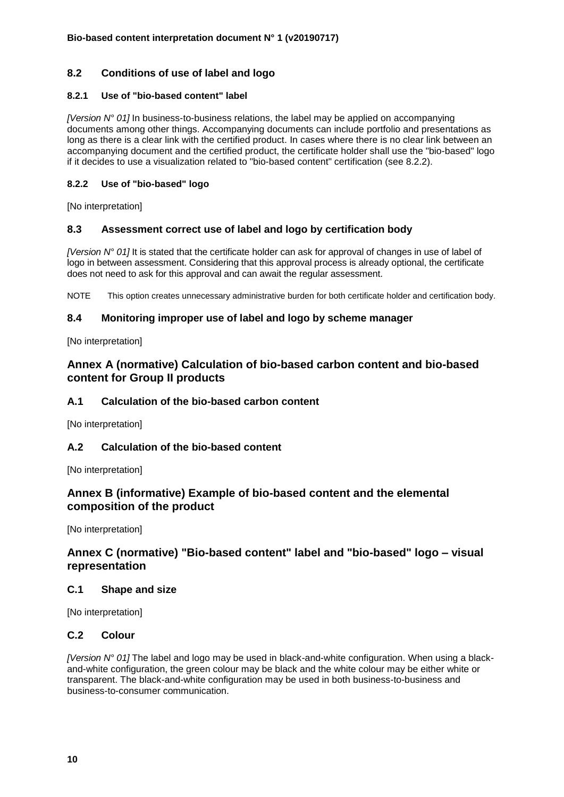## **8.2 Conditions of use of label and logo**

#### **8.2.1 Use of "bio-based content" label**

*[Version N° 01]* In business-to-business relations, the label may be applied on accompanying documents among other things. Accompanying documents can include portfolio and presentations as long as there is a clear link with the certified product. In cases where there is no clear link between an accompanying document and the certified product, the certificate holder shall use the "bio-based" logo if it decides to use a visualization related to "bio-based content" certification (see 8.2.2).

#### **8.2.2 Use of "bio-based" logo**

[No interpretation]

### **8.3 Assessment correct use of label and logo by certification body**

*[Version N° 01]* It is stated that the certificate holder can ask for approval of changes in use of label of logo in between assessment. Considering that this approval process is already optional, the certificate does not need to ask for this approval and can await the regular assessment.

NOTE This option creates unnecessary administrative burden for both certificate holder and certification body.

### **8.4 Monitoring improper use of label and logo by scheme manager**

[No interpretation]

## **Annex A (normative) Calculation of bio-based carbon content and bio-based content for Group II products**

### **A.1 Calculation of the bio-based carbon content**

[No interpretation]

### **A.2 Calculation of the bio-based content**

[No interpretation]

## **Annex B (informative) Example of bio-based content and the elemental composition of the product**

[No interpretation]

## **Annex C (normative) "Bio-based content" label and "bio-based" logo – visual representation**

#### **C.1 Shape and size**

[No interpretation]

#### **C.2 Colour**

*[Version N° 01]* The label and logo may be used in black-and-white configuration. When using a blackand-white configuration, the green colour may be black and the white colour may be either white or transparent. The black-and-white configuration may be used in both business-to-business and business-to-consumer communication.